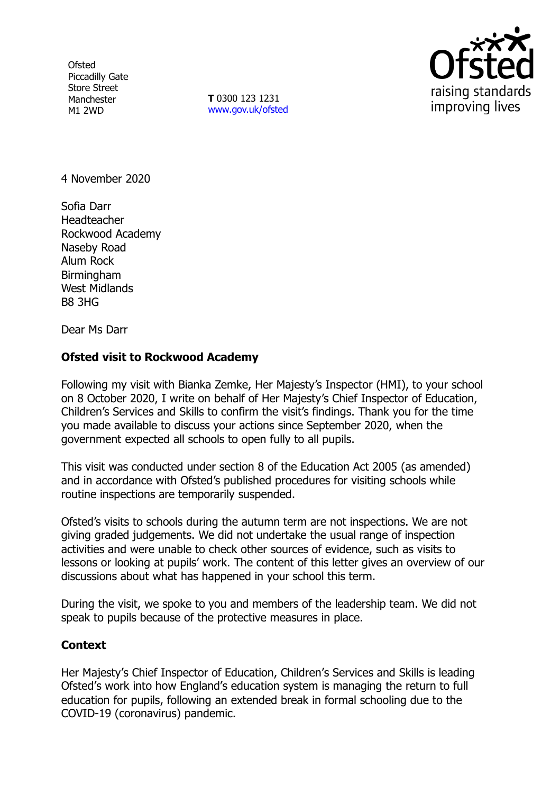**Ofsted** Piccadilly Gate Store Street Manchester M1 2WD

**T** 0300 123 1231 [www.gov.uk/ofsted](http://www.gov.uk/ofsted)



4 November 2020

Sofia Darr Headteacher Rockwood Academy Naseby Road Alum Rock Birmingham West Midlands B8 3HG

Dear Ms Darr

## **Ofsted visit to Rockwood Academy**

Following my visit with Bianka Zemke, Her Majesty's Inspector (HMI), to your school on 8 October 2020, I write on behalf of Her Majesty's Chief Inspector of Education, Children's Services and Skills to confirm the visit's findings. Thank you for the time you made available to discuss your actions since September 2020, when the government expected all schools to open fully to all pupils.

This visit was conducted under section 8 of the Education Act 2005 (as amended) and in accordance with Ofsted's published procedures for visiting schools while routine inspections are temporarily suspended.

Ofsted's visits to schools during the autumn term are not inspections. We are not giving graded judgements. We did not undertake the usual range of inspection activities and were unable to check other sources of evidence, such as visits to lessons or looking at pupils' work. The content of this letter gives an overview of our discussions about what has happened in your school this term.

During the visit, we spoke to you and members of the leadership team. We did not speak to pupils because of the protective measures in place.

## **Context**

Her Majesty's Chief Inspector of Education, Children's Services and Skills is leading Ofsted's work into how England's education system is managing the return to full education for pupils, following an extended break in formal schooling due to the COVID-19 (coronavirus) pandemic.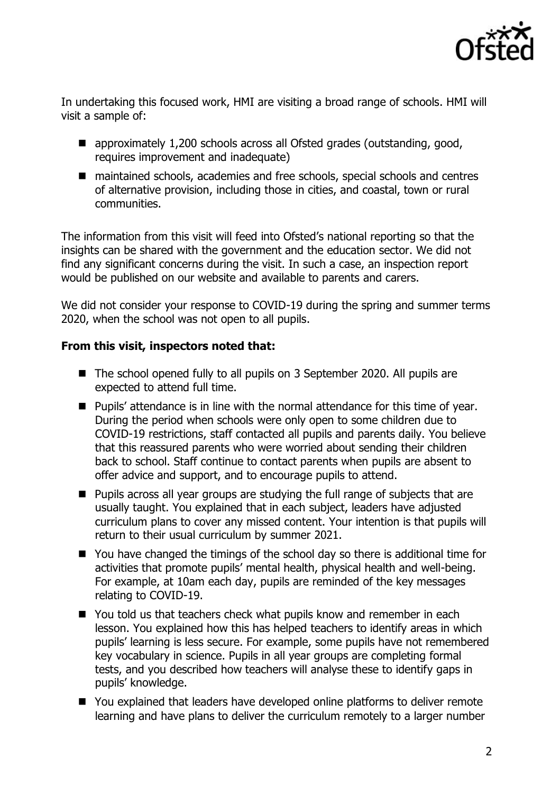

In undertaking this focused work, HMI are visiting a broad range of schools. HMI will visit a sample of:

- approximately 1,200 schools across all Ofsted grades (outstanding, good, requires improvement and inadequate)
- maintained schools, academies and free schools, special schools and centres of alternative provision, including those in cities, and coastal, town or rural communities.

The information from this visit will feed into Ofsted's national reporting so that the insights can be shared with the government and the education sector. We did not find any significant concerns during the visit. In such a case, an inspection report would be published on our website and available to parents and carers.

We did not consider your response to COVID-19 during the spring and summer terms 2020, when the school was not open to all pupils.

## **From this visit, inspectors noted that:**

- The school opened fully to all pupils on 3 September 2020. All pupils are expected to attend full time.
- Pupils' attendance is in line with the normal attendance for this time of year. During the period when schools were only open to some children due to COVID-19 restrictions, staff contacted all pupils and parents daily. You believe that this reassured parents who were worried about sending their children back to school. Staff continue to contact parents when pupils are absent to offer advice and support, and to encourage pupils to attend.
- Pupils across all year groups are studying the full range of subjects that are usually taught. You explained that in each subject, leaders have adjusted curriculum plans to cover any missed content. Your intention is that pupils will return to their usual curriculum by summer 2021.
- You have changed the timings of the school day so there is additional time for activities that promote pupils' mental health, physical health and well-being. For example, at 10am each day, pupils are reminded of the key messages relating to COVID-19.
- You told us that teachers check what pupils know and remember in each lesson. You explained how this has helped teachers to identify areas in which pupils' learning is less secure. For example, some pupils have not remembered key vocabulary in science. Pupils in all year groups are completing formal tests, and you described how teachers will analyse these to identify gaps in pupils' knowledge.
- You explained that leaders have developed online platforms to deliver remote learning and have plans to deliver the curriculum remotely to a larger number